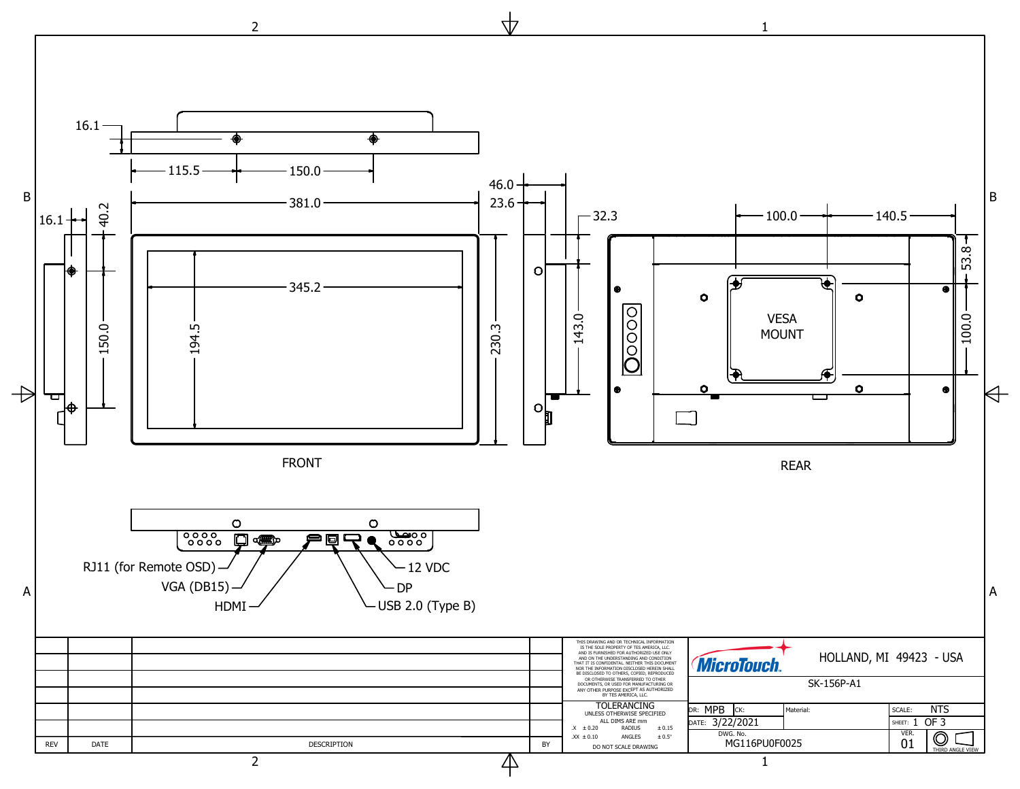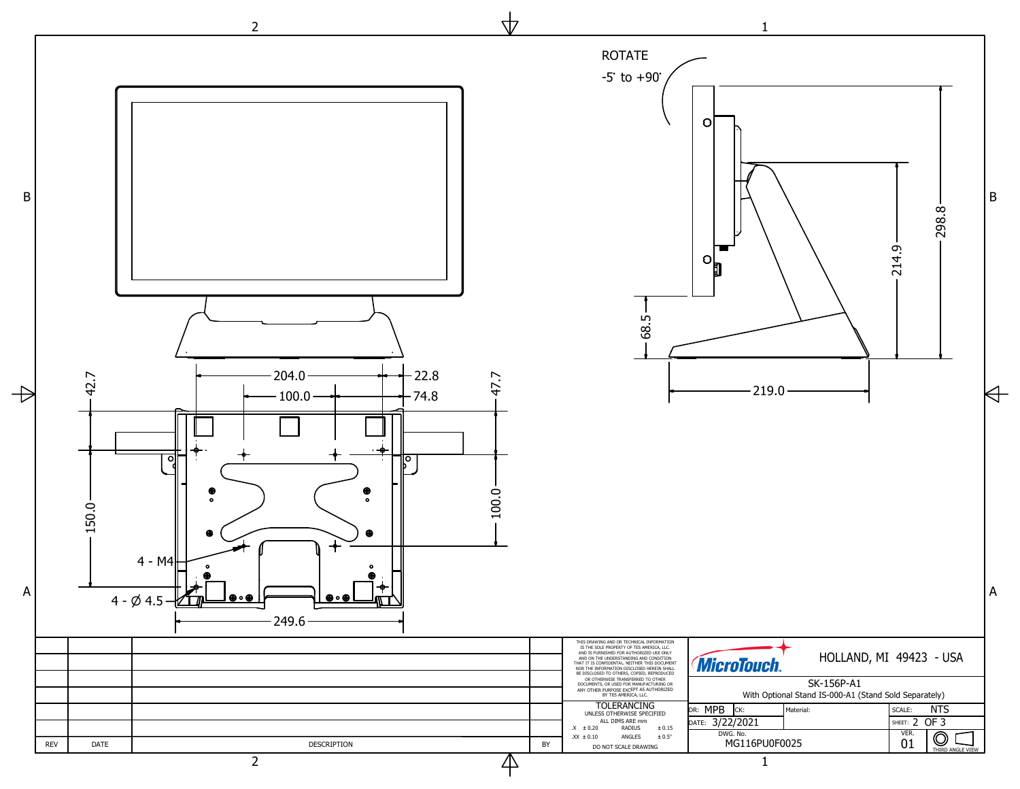